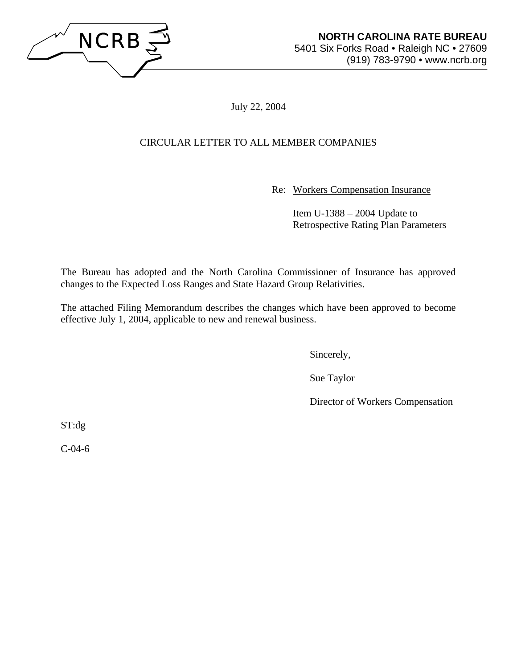

July 22, 2004

# CIRCULAR LETTER TO ALL MEMBER COMPANIES

Re: Workers Compensation Insurance

 Item U-1388 – 2004 Update to Retrospective Rating Plan Parameters

The Bureau has adopted and the North Carolina Commissioner of Insurance has approved changes to the Expected Loss Ranges and State Hazard Group Relativities.

The attached Filing Memorandum describes the changes which have been approved to become effective July 1, 2004, applicable to new and renewal business.

Sincerely,

Sue Taylor

Director of Workers Compensation

ST:dg

C-04-6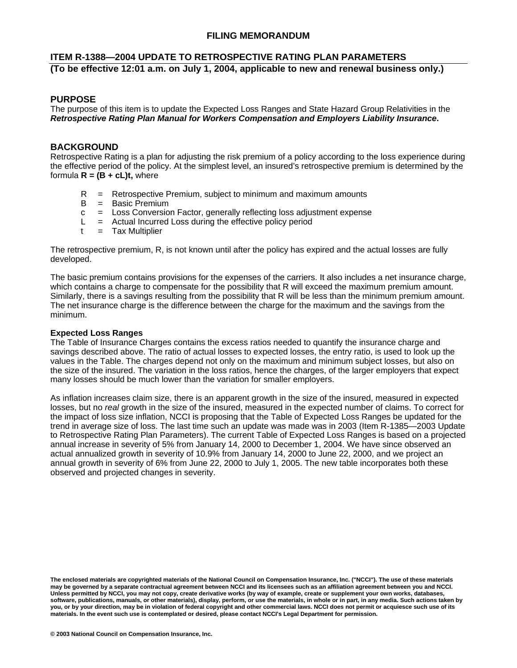## **FILING MEMORANDUM**

## **ITEM R-1388—2004 UPDATE TO RETROSPECTIVE RATING PLAN PARAMETERS (To be effective 12:01 a.m. on July 1, 2004, applicable to new and renewal business only.)**

## **PURPOSE**

The purpose of this item is to update the Expected Loss Ranges and State Hazard Group Relativities in the *Retrospective Rating Plan Manual for Workers Compensation and Employers Liability Insurance***.**

## **BACKGROUND**

Retrospective Rating is a plan for adjusting the risk premium of a policy according to the loss experience during the effective period of the policy. At the simplest level, an insured's retrospective premium is determined by the formula  $R = (B + cL)t$ , where

- $R =$  Retrospective Premium, subject to minimum and maximum amounts
- B = Basic Premium
- c = Loss Conversion Factor, generally reflecting loss adjustment expense
- $L =$  Actual Incurred Loss during the effective policy period
- $t =$  Tax Multiplier

The retrospective premium, R, is not known until after the policy has expired and the actual losses are fully developed.

The basic premium contains provisions for the expenses of the carriers. It also includes a net insurance charge, which contains a charge to compensate for the possibility that R will exceed the maximum premium amount. Similarly, there is a savings resulting from the possibility that R will be less than the minimum premium amount. The net insurance charge is the difference between the charge for the maximum and the savings from the minimum.

#### **Expected Loss Ranges**

The Table of Insurance Charges contains the excess ratios needed to quantify the insurance charge and savings described above. The ratio of actual losses to expected losses, the entry ratio, is used to look up the values in the Table. The charges depend not only on the maximum and minimum subject losses, but also on the size of the insured. The variation in the loss ratios, hence the charges, of the larger employers that expect many losses should be much lower than the variation for smaller employers.

As inflation increases claim size, there is an apparent growth in the size of the insured, measured in expected losses, but no *real* growth in the size of the insured, measured in the expected number of claims. To correct for the impact of loss size inflation, NCCI is proposing that the Table of Expected Loss Ranges be updated for the trend in average size of loss. The last time such an update was made was in 2003 (Item R-1385—2003 Update to Retrospective Rating Plan Parameters). The current Table of Expected Loss Ranges is based on a projected annual increase in severity of 5% from January 14, 2000 to December 1, 2004. We have since observed an actual annualized growth in severity of 10.9% from January 14, 2000 to June 22, 2000, and we project an annual growth in severity of 6% from June 22, 2000 to July 1, 2005. The new table incorporates both these observed and projected changes in severity.

**The enclosed materials are copyrighted materials of the National Council on Compensation Insurance, Inc. ("NCCI"). The use of these materials may be governed by a separate contractual agreement between NCCI and its licensees such as an affiliation agreement between you and NCCI. Unless permitted by NCCI, you may not copy, create derivative works (by way of example, create or supplement your own works, databases, software, publications, manuals, or other materials), display, perform, or use the materials, in whole or in part, in any media. Such actions taken by you, or by your direction, may be in violation of federal copyright and other commercial laws. NCCI does not permit or acquiesce such use of its materials. In the event such use is contemplated or desired, please contact NCCI's Legal Department for permission.**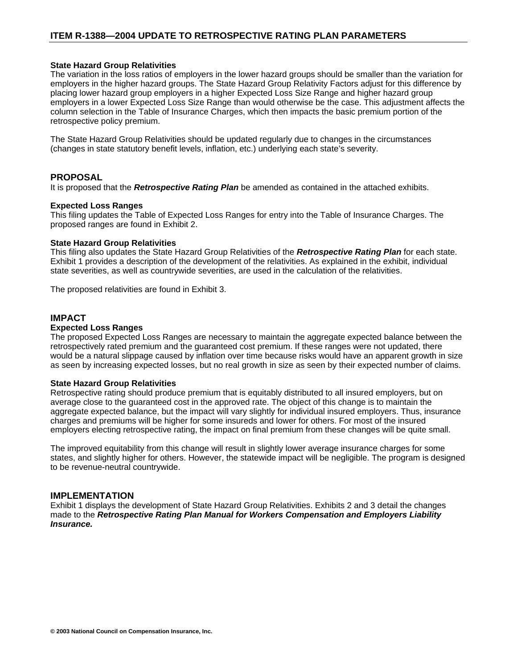#### **State Hazard Group Relativities**

The variation in the loss ratios of employers in the lower hazard groups should be smaller than the variation for employers in the higher hazard groups. The State Hazard Group Relativity Factors adjust for this difference by placing lower hazard group employers in a higher Expected Loss Size Range and higher hazard group employers in a lower Expected Loss Size Range than would otherwise be the case. This adjustment affects the column selection in the Table of Insurance Charges, which then impacts the basic premium portion of the retrospective policy premium.

The State Hazard Group Relativities should be updated regularly due to changes in the circumstances (changes in state statutory benefit levels, inflation, etc.) underlying each state's severity.

### **PROPOSAL**

It is proposed that the *Retrospective Rating Plan* be amended as contained in the attached exhibits.

#### **Expected Loss Ranges**

This filing updates the Table of Expected Loss Ranges for entry into the Table of Insurance Charges. The proposed ranges are found in Exhibit 2.

#### **State Hazard Group Relativities**

This filing also updates the State Hazard Group Relativities of the *Retrospective Rating Plan* for each state. Exhibit 1 provides a description of the development of the relativities. As explained in the exhibit, individual state severities, as well as countrywide severities, are used in the calculation of the relativities.

The proposed relativities are found in Exhibit 3.

## **IMPACT**

#### **Expected Loss Ranges**

The proposed Expected Loss Ranges are necessary to maintain the aggregate expected balance between the retrospectively rated premium and the guaranteed cost premium. If these ranges were not updated, there would be a natural slippage caused by inflation over time because risks would have an apparent growth in size as seen by increasing expected losses, but no real growth in size as seen by their expected number of claims.

#### **State Hazard Group Relativities**

Retrospective rating should produce premium that is equitably distributed to all insured employers, but on average close to the guaranteed cost in the approved rate. The object of this change is to maintain the aggregate expected balance, but the impact will vary slightly for individual insured employers. Thus, insurance charges and premiums will be higher for some insureds and lower for others. For most of the insured employers electing retrospective rating, the impact on final premium from these changes will be quite small.

The improved equitability from this change will result in slightly lower average insurance charges for some states, and slightly higher for others. However, the statewide impact will be negligible. The program is designed to be revenue-neutral countrywide.

### **IMPLEMENTATION**

Exhibit 1 displays the development of State Hazard Group Relativities. Exhibits 2 and 3 detail the changes made to the *Retrospective Rating Plan Manual for Workers Compensation and Employers Liability Insurance.*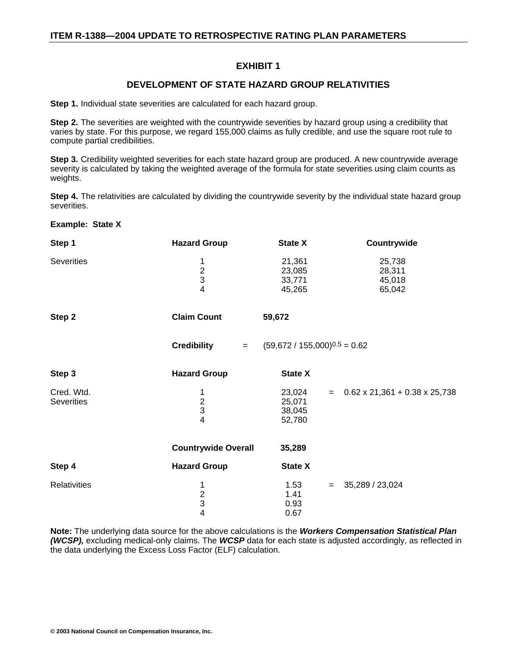## **EXHIBIT 1**

## **DEVELOPMENT OF STATE HAZARD GROUP RELATIVITIES**

**Step 1.** Individual state severities are calculated for each hazard group.

**Step 2.** The severities are weighted with the countrywide severities by hazard group using a credibility that varies by state. For this purpose, we regard 155,000 claims as fully credible, and use the square root rule to compute partial credibilities.

**Step 3.** Credibility weighted severities for each state hazard group are produced. A new countrywide average severity is calculated by taking the weighted average of the formula for state severities using claim counts as weights.

**Step 4.** The relativities are calculated by dividing the countrywide severity by the individual state hazard group severities.

| <b>Example: State X</b>  |                                               |                                      |                                      |
|--------------------------|-----------------------------------------------|--------------------------------------|--------------------------------------|
| Step 1                   | <b>Hazard Group</b>                           | <b>State X</b>                       | Countrywide                          |
| <b>Severities</b>        | 1<br>$\frac{2}{3}$<br>$\overline{\mathbf{4}}$ | 21,361<br>23,085<br>33,771<br>45,265 | 25,738<br>28,311<br>45,018<br>65,042 |
| Step 2                   | <b>Claim Count</b>                            | 59,672                               |                                      |
|                          | <b>Credibility</b><br>$=$                     | $(59,672 / 155,000)^{0.5} = 0.62$    |                                      |
| Step 3                   | <b>Hazard Group</b>                           | <b>State X</b>                       |                                      |
| Cred. Wtd.<br>Severities | 1<br>$\frac{2}{3}$<br>$\overline{4}$          | 23,024<br>25,071<br>38,045<br>52,780 | $=$ 0.62 x 21,361 + 0.38 x 25,738    |
|                          | <b>Countrywide Overall</b>                    | 35,289                               |                                      |
| Step 4                   | <b>Hazard Group</b>                           | <b>State X</b>                       |                                      |
| Relativities             | 1<br>$\frac{2}{3}$<br>$\overline{4}$          | 1.53<br>1.41<br>0.93<br>0.67         | 35,289 / 23,024<br>$=$               |

**Note:** The underlying data source for the above calculations is the *Workers Compensation Statistical Plan (WCSP),* excluding medical-only claims. The *WCSP* data for each state is adjusted accordingly, as reflected in the data underlying the Excess Loss Factor (ELF) calculation.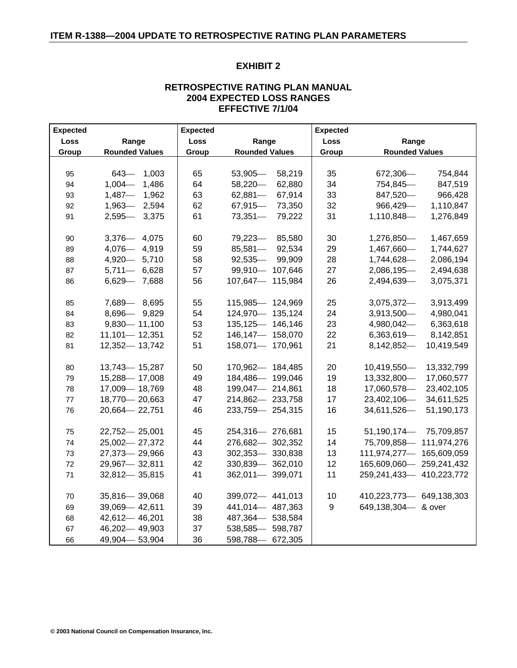## **EXHIBIT 2**

## **RETROSPECTIVE RATING PLAN MANUAL 2004 EXPECTED LOSS RANGES EFFECTIVE 7/1/04**

| <b>Expected</b> |                       | <b>Expected</b> |                       | <b>Expected</b> |                            |
|-----------------|-----------------------|-----------------|-----------------------|-----------------|----------------------------|
| Loss            | Range                 | Loss            | Range                 | Loss            | Range                      |
| Group           | <b>Rounded Values</b> | Group           | <b>Rounded Values</b> | Group           | <b>Rounded Values</b>      |
|                 |                       |                 |                       |                 |                            |
| 95              | $643 -$<br>1,003      | 65              | 53,905<br>58,219      | 35              | 672,306-<br>754,844        |
| 94              | $1,004-$<br>1,486     | 64              | $58,220-$<br>62,880   | 34              | 754,845<br>847,519         |
| 93              | $1,487-$<br>1,962     | 63              | $62,881$ —<br>67,914  | 33              | 847,520-<br>966,428        |
| 92              | 1,963 - 2,594         | 62              | 67,915<br>73,350      | 32              | 966,429-<br>1,110,847      |
| 91              | 2,595 - 3,375         | 61              | $73,351$ —<br>79,222  | 31              | 1,110,848-<br>1,276,849    |
|                 |                       |                 |                       |                 |                            |
| 90              | 3,376 - 4,075         | 60              | 79,223<br>85,580      | 30              | 1,276,850-<br>1,467,659    |
| 89              | 4,076 - 4,919         | 59              | 85,581-<br>92,534     | 29              | 1,467,660-<br>1,744,627    |
| 88              | 4,920 - 5,710         | 58              | $92,535-$<br>99,909   | 28              | 1,744,628-<br>2,086,194    |
| 87              | $5,711 - 6,628$       | 57              | 99,910 - 107,646      | 27              | 2,086,195-<br>2,494,638    |
| 86              | 6,629 - 7,688         | 56              | 107,647-115,984       | 26              | 2,494,639-<br>3,075,371    |
|                 |                       |                 |                       |                 |                            |
| 85              | 7,689 - 8,695         | 55              | 115,985 - 124,969     | 25              | $3,075,372$ -<br>3,913,499 |
| 84              | 8,696 - 9,829         | 54              | 124,970 - 135,124     | 24              | 3,913,500-<br>4,980,041    |
| 83              | $9,830 - 11,100$      | 53              | 135,125 - 146,146     | 23              | 4,980,042-<br>6,363,618    |
| 82              | $11,101 - 12,351$     | 52              | 146,147-158,070       | 22              | $6,363,619-$<br>8,142,851  |
| 81              | 12,352-13,742         | 51              | 158,071-170,961       | 21              | 8,142,852-<br>10,419,549   |
|                 |                       |                 |                       |                 |                            |
| 80              | 13,743 - 15,287       | 50              | 170,962-184,485       | 20              | 10,419,550-<br>13,332,799  |
| 79              | 15,288-17,008         | 49              | 184,486 - 199,046     | 19              | 13,332,800-<br>17,060,577  |
| 78              | 17,009 - 18,769       | 48              | 199,047-214,861       | 18              | 17,060,578-<br>23,402,105  |
| 77              | 18,770 - 20,663       | 47              | 214,862-233,758       | 17              | 23,402,106-<br>34,611,525  |
| 76              | 20,664 - 22,751       | 46              | 233,759 - 254,315     | 16              | 34,611,526-<br>51,190,173  |
|                 |                       |                 |                       |                 |                            |
| 75              | 22,752-25,001         | 45              | 254,316 - 276,681     | 15              | 75,709,857<br>51,190,174   |
| 74              | 25,002-27,372         | 44              | 276,682-302,352       | 14              | 75,709,858 - 111,974,276   |
| 73              | 27,373 - 29,966       | 43              | 302,353 - 330,838     | 13              | 111,974,277-465,609,059    |
| 72              | 29,967-32,811         | 42              | 330,839 - 362,010     | 12              | 165,609,060 - 259,241,432  |
| 71              | 32,812-35,815         | 41              | 362,011- 399,071      | 11              | 259,241,433 410,223,772    |
|                 |                       |                 |                       |                 |                            |
| 70              | 35,816 - 39,068       | 40              | 399,072-441,013       | 10              | 410,223,773 649,138,303    |
| 69              | 39,069 - 42,611       | 39              | 441,014 487,363       | 9               | 649,138,304 - & over       |
| 68              | 42,612-46,201         | 38              | 487,364 - 538,584     |                 |                            |
| 67              | 46,202-49,903         | 37              | 538,585 - 598,787     |                 |                            |
| 66              | 49,904 - 53,904       | 36              | 598,788-672,305       |                 |                            |